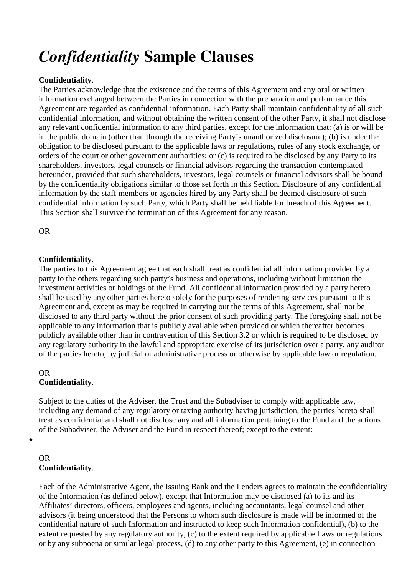# *Confidentiality* **Sample Clauses**

## **Confidentiality**.

The Parties acknowledge that the existence and the terms of this Agreement and any oral or written information exchanged between the Parties in connection with the preparation and performance this Agreement are regarded as confidential information. Each Party shall maintain confidentiality of all such confidential information, and without obtaining the written consent of the other Party, it shall not disclose any relevant confidential information to any third parties, except for the information that: (a) is or will be in the public domain (other than through the receiving Party's unauthorized disclosure); (b) is under the obligation to be disclosed pursuant to the applicable laws or regulations, rules of any stock exchange, or orders of the court or other government authorities; or (c) is required to be disclosed by any Party to its shareholders, investors, legal counsels or financial advisors regarding the transaction contemplated hereunder, provided that such shareholders, investors, legal counsels or financial advisors shall be bound by the confidentiality obligations similar to those set forth in this Section. Disclosure of any confidential information by the staff members or agencies hired by any Party shall be deemed disclosure of such confidential information by such Party, which Party shall be held liable for breach of this Agreement. This Section shall survive the termination of this Agreement for any reason.

OR

## **Confidentiality**.

The parties to this Agreement agree that each shall treat as confidential all information provided by a party to the others regarding such party's business and operations, including without limitation the investment activities or holdings of the Fund. All confidential information provided by a party hereto shall be used by any other parties hereto solely for the purposes of rendering services pursuant to this Agreement and, except as may be required in carrying out the terms of this Agreement, shall not be disclosed to any third party without the prior consent of such providing party. The foregoing shall not be applicable to any information that is publicly available when provided or which thereafter becomes publicly available other than in contravention of this Section 3.2 or which is required to be disclosed by any regulatory authority in the lawful and appropriate exercise of its jurisdiction over a party, any auditor of the parties hereto, by judicial or administrative process or otherwise by applicable law or regulation.

### OR **Confidentiality**.

Subject to the duties of the Adviser, the Trust and the Subadviser to comply with applicable law, including any demand of any regulatory or taxing authority having jurisdiction, the parties hereto shall treat as confidential and shall not disclose any and all information pertaining to the Fund and the actions of the Subadviser, the Adviser and the Fund in respect thereof; except to the extent:

### OR **Confidentiality**.

 $\bullet$ 

Each of the Administrative Agent, the Issuing Bank and the Lenders agrees to maintain the confidentiality of the Information (as defined below), except that Information may be disclosed (a) to its and its Affiliates' directors, officers, employees and agents, including accountants, legal counsel and other advisors (it being understood that the Persons to whom such disclosure is made will be informed of the confidential nature of such Information and instructed to keep such Information confidential), (b) to the extent requested by any regulatory authority, (c) to the extent required by applicable Laws or regulations or by any subpoena or similar legal process, (d) to any other party to this Agreement, (e) in connection